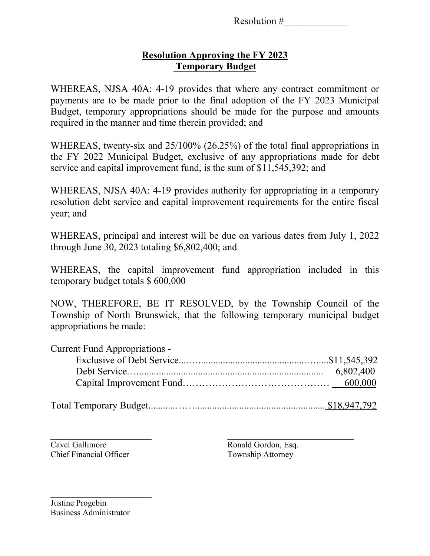Resolution #\_\_\_\_\_\_\_\_\_\_\_\_\_

## **Resolution Approving the FY 2023 Temporary Budget**

WHEREAS, NJSA 40A: 4-19 provides that where any contract commitment or payments are to be made prior to the final adoption of the FY 2023 Municipal Budget, temporary appropriations should be made for the purpose and amounts required in the manner and time therein provided; and

WHEREAS, twenty-six and 25/100% (26.25%) of the total final appropriations in the FY 2022 Municipal Budget, exclusive of any appropriations made for debt service and capital improvement fund, is the sum of \$11,545,392; and

WHEREAS, NJSA 40A: 4-19 provides authority for appropriating in a temporary resolution debt service and capital improvement requirements for the entire fiscal year; and

WHEREAS, principal and interest will be due on various dates from July 1, 2022 through June 30, 2023 totaling \$6,802,400; and

WHEREAS, the capital improvement fund appropriation included in this temporary budget totals \$ 600,000

NOW, THEREFORE, BE IT RESOLVED, by the Township Council of the Township of North Brunswick, that the following temporary municipal budget appropriations be made:

| <b>Current Fund Appropriations -</b> |  |
|--------------------------------------|--|
|                                      |  |
|                                      |  |
|                                      |  |
|                                      |  |

Cavel Gallimore Ronald Gordon, Esq. Chief Financial Officer Township Attorney

Justine Progebin Business Administrator

\_\_\_\_\_\_\_\_\_\_\_\_\_\_\_\_\_\_\_\_\_\_\_\_